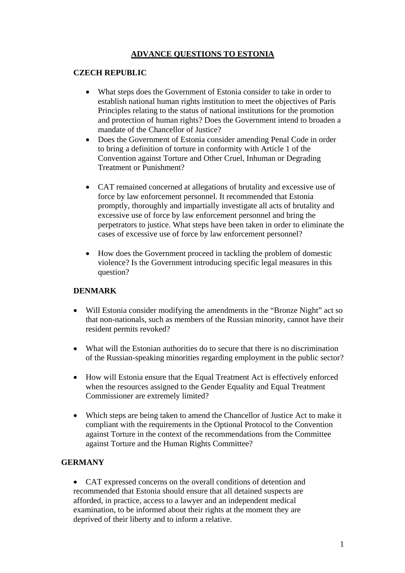# **ADVANCE QUESTIONS TO ESTONIA**

### **CZECH REPUBLIC**

- What steps does the Government of Estonia consider to take in order to establish national human rights institution to meet the objectives of Paris Principles relating to the status of national institutions for the promotion and protection of human rights? Does the Government intend to broaden a mandate of the Chancellor of Justice?
- Does the Government of Estonia consider amending Penal Code in order to bring a definition of torture in conformity with Article 1 of the Convention against Torture and Other Cruel, Inhuman or Degrading Treatment or Punishment?
- CAT remained concerned at allegations of brutality and excessive use of force by law enforcement personnel. It recommended that Estonia promptly, thoroughly and impartially investigate all acts of brutality and excessive use of force by law enforcement personnel and bring the perpetrators to justice. What steps have been taken in order to eliminate the cases of excessive use of force by law enforcement personnel?
- How does the Government proceed in tackling the problem of domestic violence? Is the Government introducing specific legal measures in this question?

## **DENMARK**

- Will Estonia consider modifying the amendments in the "Bronze Night" act so that non-nationals, such as members of the Russian minority, cannot have their resident permits revoked?
- What will the Estonian authorities do to secure that there is no discrimination of the Russian-speaking minorities regarding employment in the public sector?
- How will Estonia ensure that the Equal Treatment Act is effectively enforced when the resources assigned to the Gender Equality and Equal Treatment Commissioner are extremely limited?
- Which steps are being taken to amend the Chancellor of Justice Act to make it compliant with the requirements in the Optional Protocol to the Convention against Torture in the context of the recommendations from the Committee against Torture and the Human Rights Committee?

## **GERMANY**

• CAT expressed concerns on the overall conditions of detention and recommended that Estonia should ensure that all detained suspects are afforded, in practice, access to a lawyer and an independent medical examination, to be informed about their rights at the moment they are deprived of their liberty and to inform a relative.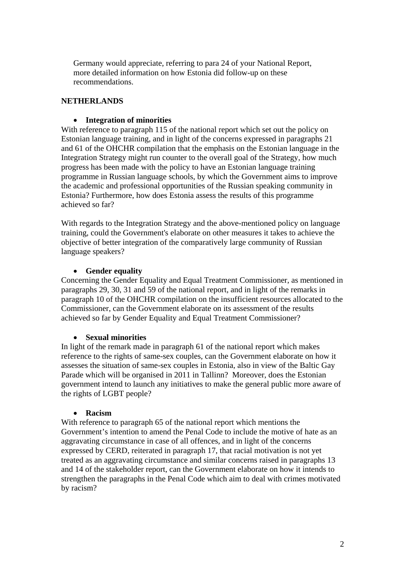Germany would appreciate, referring to para 24 of your National Report, more detailed information on how Estonia did follow-up on these recommendations.

### **NETHERLANDS**

#### • **Integration of minorities**

With reference to paragraph 115 of the national report which set out the policy on Estonian language training, and in light of the concerns expressed in paragraphs 21 and 61 of the OHCHR compilation that the emphasis on the Estonian language in the Integration Strategy might run counter to the overall goal of the Strategy, how much progress has been made with the policy to have an Estonian language training programme in Russian language schools, by which the Government aims to improve the academic and professional opportunities of the Russian speaking community in Estonia? Furthermore, how does Estonia assess the results of this programme achieved so far?

With regards to the Integration Strategy and the above-mentioned policy on language training, could the Government's elaborate on other measures it takes to achieve the objective of better integration of the comparatively large community of Russian language speakers?

### • **Gender equality**

Concerning the Gender Equality and Equal Treatment Commissioner, as mentioned in paragraphs 29, 30, 31 and 59 of the national report, and in light of the remarks in paragraph 10 of the OHCHR compilation on the insufficient resources allocated to the Commissioner, can the Government elaborate on its assessment of the results achieved so far by Gender Equality and Equal Treatment Commissioner?

#### • **Sexual minorities**

In light of the remark made in paragraph 61 of the national report which makes reference to the rights of same-sex couples, can the Government elaborate on how it assesses the situation of same-sex couples in Estonia, also in view of the Baltic Gay Parade which will be organised in 2011 in Tallinn? Moreover, does the Estonian government intend to launch any initiatives to make the general public more aware of the rights of LGBT people?

#### • **Racism**

With reference to paragraph 65 of the national report which mentions the Government's intention to amend the Penal Code to include the motive of hate as an aggravating circumstance in case of all offences, and in light of the concerns expressed by CERD, reiterated in paragraph 17, that racial motivation is not yet treated as an aggravating circumstance and similar concerns raised in paragraphs 13 and 14 of the stakeholder report, can the Government elaborate on how it intends to strengthen the paragraphs in the Penal Code which aim to deal with crimes motivated by racism?